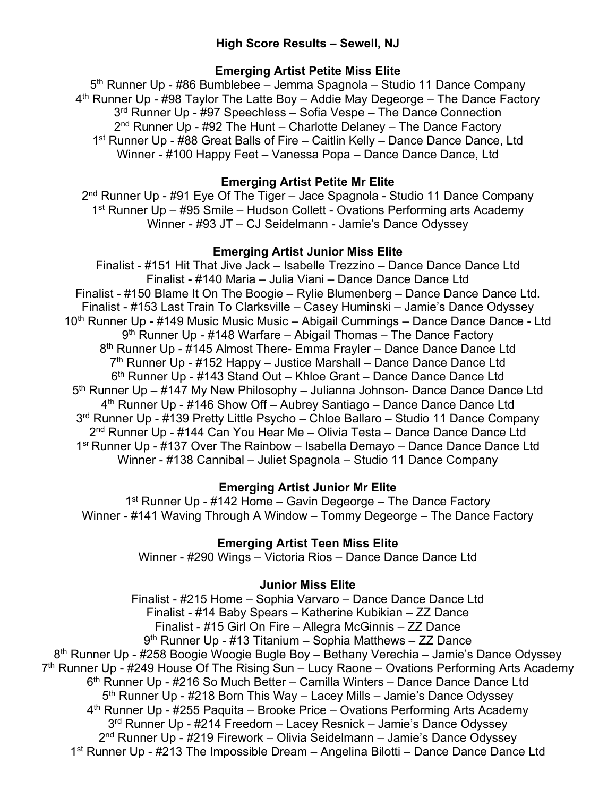# **High Score Results – Sewell, NJ**

## **Emerging Artist Petite Miss Elite**

5th Runner Up - #86 Bumblebee – Jemma Spagnola – Studio 11 Dance Company 4<sup>th</sup> Runner Up - #98 Taylor The Latte Boy – Addie May Degeorge – The Dance Factory 3<sup>rd</sup> Runner Up - #97 Speechless – Sofia Vespe – The Dance Connection  $2<sup>nd</sup>$  Runner Up - #92 The Hunt – Charlotte Delaney – The Dance Factory 1<sup>st</sup> Runner Up - #88 Great Balls of Fire – Caitlin Kelly – Dance Dance Dance, Ltd Winner - #100 Happy Feet – Vanessa Popa – Dance Dance Dance, Ltd

## **Emerging Artist Petite Mr Elite**

2<sup>nd</sup> Runner Up - #91 Eye Of The Tiger – Jace Spagnola - Studio 11 Dance Company 1st Runner Up – #95 Smile – Hudson Collett - Ovations Performing arts Academy Winner - #93 JT – CJ Seidelmann - Jamie's Dance Odyssey

## **Emerging Artist Junior Miss Elite**

Finalist - #151 Hit That Jive Jack – Isabelle Trezzino – Dance Dance Dance Ltd Finalist - #140 Maria – Julia Viani – Dance Dance Dance Ltd Finalist - #150 Blame It On The Boogie – Rylie Blumenberg – Dance Dance Dance Ltd. Finalist - #153 Last Train To Clarksville – Casey Huminski – Jamie's Dance Odyssey 10<sup>th</sup> Runner Up - #149 Music Music Music – Abigail Cummings – Dance Dance Dance - Ltd 9th Runner Up - #148 Warfare – Abigail Thomas – The Dance Factory 8<sup>th</sup> Runner Up - #145 Almost There- Emma Frayler – Dance Dance Dance Ltd 7<sup>th</sup> Runner Up - #152 Happy – Justice Marshall – Dance Dance Dance Ltd 6<sup>th</sup> Runner Up - #143 Stand Out – Khloe Grant – Dance Dance Dance Ltd 5<sup>th</sup> Runner Up – #147 My New Philosophy – Julianna Johnson- Dance Dance Dance Ltd 4th Runner Up - #146 Show Off – Aubrey Santiago – Dance Dance Dance Ltd 3rd Runner Up - #139 Pretty Little Psycho – Chloe Ballaro – Studio 11 Dance Company 2<sup>nd</sup> Runner Up - #144 Can You Hear Me - Olivia Testa - Dance Dance Dance Ltd 1<sup>sr</sup> Runner Up - #137 Over The Rainbow – Isabella Demayo – Dance Dance Dance Ltd Winner - #138 Cannibal – Juliet Spagnola – Studio 11 Dance Company

# **Emerging Artist Junior Mr Elite**

 $1<sup>st</sup>$  Runner Up - #142 Home – Gavin Degeorge – The Dance Factory Winner - #141 Waving Through A Window – Tommy Degeorge – The Dance Factory

# **Emerging Artist Teen Miss Elite**

Winner - #290 Wings – Victoria Rios – Dance Dance Dance Ltd

### **Junior Miss Elite**

Finalist - #215 Home – Sophia Varvaro – Dance Dance Dance Ltd Finalist - #14 Baby Spears – Katherine Kubikian – ZZ Dance Finalist - #15 Girl On Fire – Allegra McGinnis – ZZ Dance 9<sup>th</sup> Runner Up - #13 Titanium - Sophia Matthews - ZZ Dance 8<sup>th</sup> Runner Up - #258 Boogie Woogie Bugle Boy – Bethany Verechia – Jamie's Dance Odyssey  $7<sup>th</sup>$  Runner Up - #249 House Of The Rising Sun – Lucy Raone – Ovations Performing Arts Academy 6th Runner Up - #216 So Much Better – Camilla Winters – Dance Dance Dance Ltd 5<sup>th</sup> Runner Up - #218 Born This Way – Lacey Mills – Jamie's Dance Odyssey 4th Runner Up - #255 Paquita – Brooke Price – Ovations Performing Arts Academy 3<sup>rd</sup> Runner Up - #214 Freedom – Lacey Resnick – Jamie's Dance Odyssey 2nd Runner Up - #219 Firework – Olivia Seidelmann – Jamie's Dance Odyssey 1<sup>st</sup> Runner Up - #213 The Impossible Dream – Angelina Bilotti – Dance Dance Dance Ltd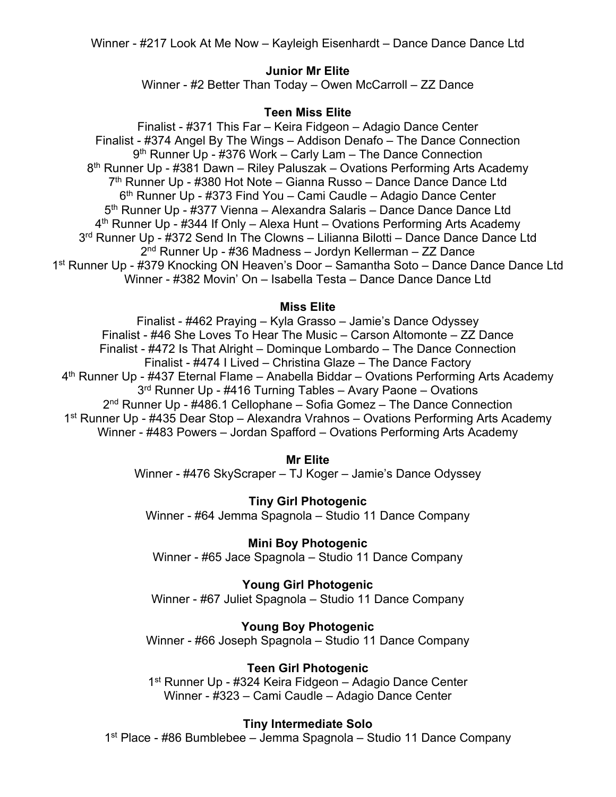Winner - #217 Look At Me Now – Kayleigh Eisenhardt – Dance Dance Dance Ltd

## **Junior Mr Elite**

Winner - #2 Better Than Today – Owen McCarroll – ZZ Dance

## **Teen Miss Elite**

Finalist - #371 This Far – Keira Fidgeon – Adagio Dance Center Finalist - #374 Angel By The Wings – Addison Denafo – The Dance Connection 9<sup>th</sup> Runner Up - #376 Work – Carly Lam – The Dance Connection 8<sup>th</sup> Runner Up - #381 Dawn – Riley Paluszak – Ovations Performing Arts Academy 7<sup>th</sup> Runner Up - #380 Hot Note – Gianna Russo – Dance Dance Dance Ltd 6th Runner Up - #373 Find You – Cami Caudle – Adagio Dance Center 5<sup>th</sup> Runner Up - #377 Vienna – Alexandra Salaris – Dance Dance Dance Ltd 4<sup>th</sup> Runner Up - #344 If Only – Alexa Hunt – Ovations Performing Arts Academy 3<sup>rd</sup> Runner Up - #372 Send In The Clowns - Lilianna Bilotti - Dance Dance Dance Ltd 2nd Runner Up - #36 Madness – Jordyn Kellerman – ZZ Dance 1<sup>st</sup> Runner Up - #379 Knocking ON Heaven's Door – Samantha Soto – Dance Dance Dance Ltd Winner - #382 Movin' On – Isabella Testa – Dance Dance Dance Ltd

## **Miss Elite**

Finalist - #462 Praying – Kyla Grasso – Jamie's Dance Odyssey Finalist - #46 She Loves To Hear The Music – Carson Altomonte – ZZ Dance Finalist - #472 Is That Alright – Dominque Lombardo – The Dance Connection Finalist - #474 I Lived – Christina Glaze – The Dance Factory 4<sup>th</sup> Runner Up - #437 Eternal Flame – Anabella Biddar – Ovations Performing Arts Academy 3<sup>rd</sup> Runner Up - #416 Turning Tables – Avary Paone – Ovations  $2<sup>nd</sup>$  Runner Up - #486.1 Cellophane – Sofia Gomez – The Dance Connection 1st Runner Up - #435 Dear Stop – Alexandra Vrahnos – Ovations Performing Arts Academy Winner - #483 Powers – Jordan Spafford – Ovations Performing Arts Academy

### **Mr Elite**

Winner - #476 SkyScraper – TJ Koger – Jamie's Dance Odyssey

**Tiny Girl Photogenic** Winner - #64 Jemma Spagnola – Studio 11 Dance Company

### **Mini Boy Photogenic**

Winner - #65 Jace Spagnola – Studio 11 Dance Company

### **Young Girl Photogenic**

Winner - #67 Juliet Spagnola – Studio 11 Dance Company

## **Young Boy Photogenic**

Winner - #66 Joseph Spagnola – Studio 11 Dance Company

### **Teen Girl Photogenic**

1<sup>st</sup> Runner Up - #324 Keira Fidgeon - Adagio Dance Center Winner - #323 – Cami Caudle – Adagio Dance Center

### **Tiny Intermediate Solo**

1st Place - #86 Bumblebee – Jemma Spagnola – Studio 11 Dance Company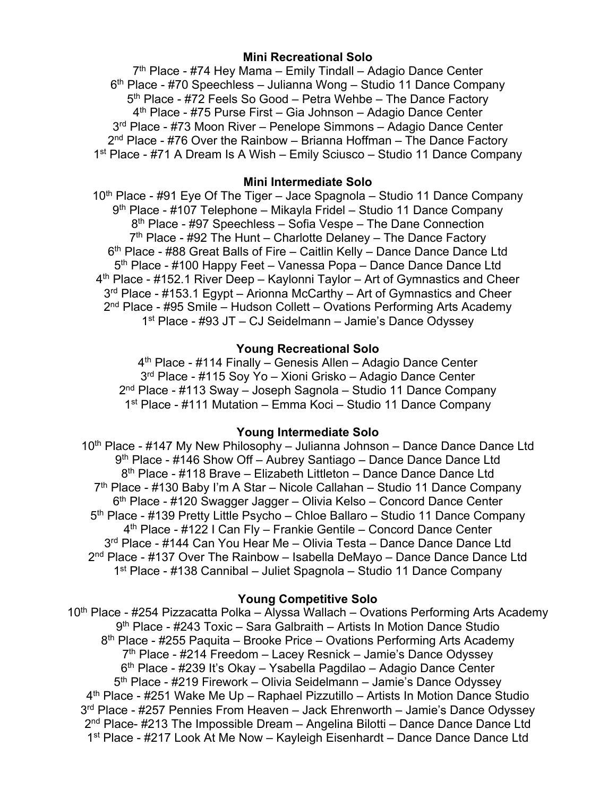### **Mini Recreational Solo**

 $7<sup>th</sup>$  Place - #74 Hey Mama – Emily Tindall – Adagio Dance Center 6th Place - #70 Speechless – Julianna Wong – Studio 11 Dance Company 5<sup>th</sup> Place - #72 Feels So Good – Petra Wehbe – The Dance Factory 4th Place - #75 Purse First – Gia Johnson – Adagio Dance Center 3rd Place - #73 Moon River – Penelope Simmons – Adagio Dance Center  $2<sup>nd</sup>$  Place - #76 Over the Rainbow – Brianna Hoffman – The Dance Factory 1st Place - #71 A Dream Is A Wish – Emily Sciusco – Studio 11 Dance Company

#### **Mini Intermediate Solo**

 $10<sup>th</sup>$  Place - #91 Eye Of The Tiger – Jace Spagnola – Studio 11 Dance Company 9th Place - #107 Telephone – Mikayla Fridel – Studio 11 Dance Company 8th Place - #97 Speechless – Sofia Vespe – The Dane Connection  $7<sup>th</sup>$  Place - #92 The Hunt – Charlotte Delaney – The Dance Factory 6th Place - #88 Great Balls of Fire – Caitlin Kelly – Dance Dance Dance Ltd 5<sup>th</sup> Place - #100 Happy Feet – Vanessa Popa – Dance Dance Dance Ltd 4<sup>th</sup> Place - #152.1 River Deep – Kaylonni Taylor – Art of Gymnastics and Cheer 3<sup>rd</sup> Place - #153.1 Egypt – Arionna McCarthy – Art of Gymnastics and Cheer 2nd Place - #95 Smile – Hudson Collett – Ovations Performing Arts Academy 1st Place - #93 JT – CJ Seidelmann – Jamie's Dance Odyssey

#### **Young Recreational Solo**

 $4<sup>th</sup>$  Place - #114 Finally – Genesis Allen – Adagio Dance Center 3rd Place - #115 Soy Yo – Xioni Grisko – Adagio Dance Center 2<sup>nd</sup> Place - #113 Sway – Joseph Sagnola – Studio 11 Dance Company 1st Place - #111 Mutation – Emma Koci – Studio 11 Dance Company

#### **Young Intermediate Solo**

10<sup>th</sup> Place - #147 My New Philosophy – Julianna Johnson – Dance Dance Dance Ltd 9<sup>th</sup> Place - #146 Show Off – Aubrey Santiago – Dance Dance Dance Ltd 8<sup>th</sup> Place - #118 Brave – Elizabeth Littleton – Dance Dance Dance Ltd 7<sup>th</sup> Place - #130 Baby I'm A Star – Nicole Callahan – Studio 11 Dance Company 6th Place - #120 Swagger Jagger – Olivia Kelso – Concord Dance Center 5<sup>th</sup> Place - #139 Pretty Little Psycho – Chloe Ballaro – Studio 11 Dance Company 4th Place - #122 I Can Fly – Frankie Gentile – Concord Dance Center 3<sup>rd</sup> Place - #144 Can You Hear Me – Olivia Testa – Dance Dance Dance Ltd 2<sup>nd</sup> Place - #137 Over The Rainbow – Isabella DeMayo – Dance Dance Dance Ltd 1st Place - #138 Cannibal – Juliet Spagnola – Studio 11 Dance Company

#### **Young Competitive Solo**

10<sup>th</sup> Place - #254 Pizzacatta Polka – Alyssa Wallach – Ovations Performing Arts Academy 9th Place - #243 Toxic – Sara Galbraith – Artists In Motion Dance Studio 8<sup>th</sup> Place - #255 Paquita – Brooke Price – Ovations Performing Arts Academy  $7<sup>th</sup>$  Place - #214 Freedom – Lacey Resnick – Jamie's Dance Odyssey 6<sup>th</sup> Place - #239 It's Okay – Ysabella Pagdilao – Adagio Dance Center 5th Place - #219 Firework – Olivia Seidelmann – Jamie's Dance Odyssey 4th Place - #251 Wake Me Up – Raphael Pizzutillo – Artists In Motion Dance Studio 3rd Place - #257 Pennies From Heaven – Jack Ehrenworth – Jamie's Dance Odyssey 2<sup>nd</sup> Place- #213 The Impossible Dream – Angelina Bilotti – Dance Dance Dance Ltd 1<sup>st</sup> Place - #217 Look At Me Now – Kayleigh Eisenhardt – Dance Dance Dance Ltd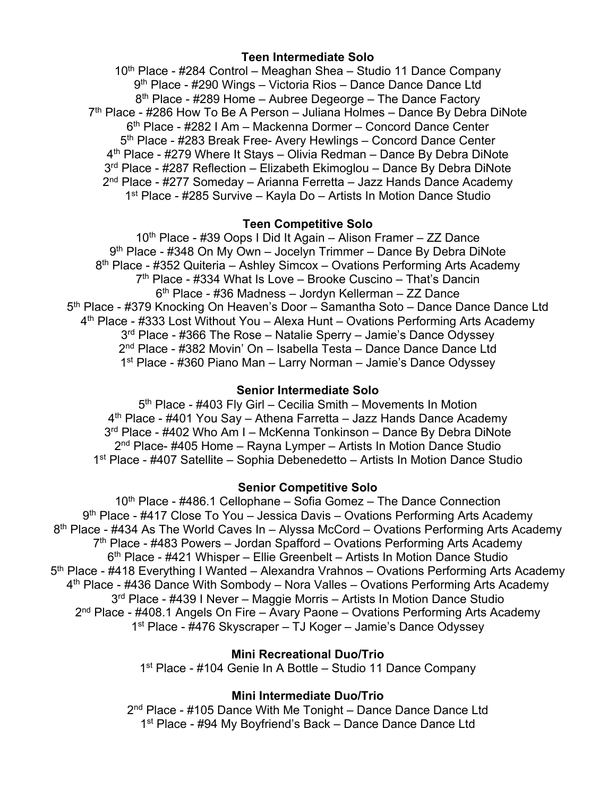## **Teen Intermediate Solo**

10<sup>th</sup> Place - #284 Control – Meaghan Shea – Studio 11 Dance Company 9th Place - #290 Wings – Victoria Rios – Dance Dance Dance Ltd 8<sup>th</sup> Place - #289 Home – Aubree Degeorge – The Dance Factory  $7<sup>th</sup>$  Place - #286 How To Be A Person – Juliana Holmes – Dance By Debra DiNote 6th Place - #282 I Am – Mackenna Dormer – Concord Dance Center 5<sup>th</sup> Place - #283 Break Free- Avery Hewlings – Concord Dance Center 4th Place - #279 Where It Stays – Olivia Redman – Dance By Debra DiNote 3<sup>rd</sup> Place - #287 Reflection – Elizabeth Ekimoglou – Dance By Debra DiNote 2<sup>nd</sup> Place - #277 Someday – Arianna Ferretta – Jazz Hands Dance Academy 1st Place - #285 Survive – Kayla Do – Artists In Motion Dance Studio

## **Teen Competitive Solo**

 $10<sup>th</sup>$  Place - #39 Oops I Did It Again – Alison Framer – ZZ Dance 9<sup>th</sup> Place - #348 On My Own - Jocelyn Trimmer - Dance By Debra DiNote 8<sup>th</sup> Place - #352 Quiteria – Ashley Simcox – Ovations Performing Arts Academy  $7<sup>th</sup>$  Place - #334 What Is Love – Brooke Cuscino – That's Dancin 6th Place - #36 Madness – Jordyn Kellerman – ZZ Dance 5<sup>th</sup> Place - #379 Knocking On Heaven's Door – Samantha Soto – Dance Dance Dance Ltd 4<sup>th</sup> Place - #333 Lost Without You – Alexa Hunt – Ovations Performing Arts Academy 3<sup>rd</sup> Place - #366 The Rose – Natalie Sperry – Jamie's Dance Odyssey 2nd Place - #382 Movin' On – Isabella Testa – Dance Dance Dance Ltd 1st Place - #360 Piano Man – Larry Norman – Jamie's Dance Odyssey

## **Senior Intermediate Solo**

5<sup>th</sup> Place - #403 Fly Girl – Cecilia Smith – Movements In Motion  $4<sup>th</sup>$  Place - #401 You Say – Athena Farretta – Jazz Hands Dance Academy 3<sup>rd</sup> Place - #402 Who Am I – McKenna Tonkinson – Dance By Debra DiNote  $2<sup>nd</sup>$  Place- #405 Home – Rayna Lymper – Artists In Motion Dance Studio 1st Place - #407 Satellite – Sophia Debenedetto – Artists In Motion Dance Studio

# **Senior Competitive Solo**

 $10<sup>th</sup>$  Place - #486.1 Cellophane – Sofia Gomez – The Dance Connection 9<sup>th</sup> Place - #417 Close To You – Jessica Davis – Ovations Performing Arts Academy 8<sup>th</sup> Place - #434 As The World Caves In – Alyssa McCord – Ovations Performing Arts Academy  $7<sup>th</sup>$  Place - #483 Powers – Jordan Spafford – Ovations Performing Arts Academy 6th Place - #421 Whisper – Ellie Greenbelt – Artists In Motion Dance Studio 5th Place - #418 Everything I Wanted – Alexandra Vrahnos – Ovations Performing Arts Academy 4<sup>th</sup> Place - #436 Dance With Sombody – Nora Valles – Ovations Performing Arts Academy 3rd Place - #439 I Never – Maggie Morris – Artists In Motion Dance Studio 2nd Place - #408.1 Angels On Fire – Avary Paone – Ovations Performing Arts Academy 1st Place - #476 Skyscraper – TJ Koger – Jamie's Dance Odyssey

# **Mini Recreational Duo/Trio**

1<sup>st</sup> Place - #104 Genie In A Bottle – Studio 11 Dance Company

# **Mini Intermediate Duo/Trio**

2<sup>nd</sup> Place - #105 Dance With Me Tonight – Dance Dance Dance Ltd 1<sup>st</sup> Place - #94 My Boyfriend's Back – Dance Dance Dance Ltd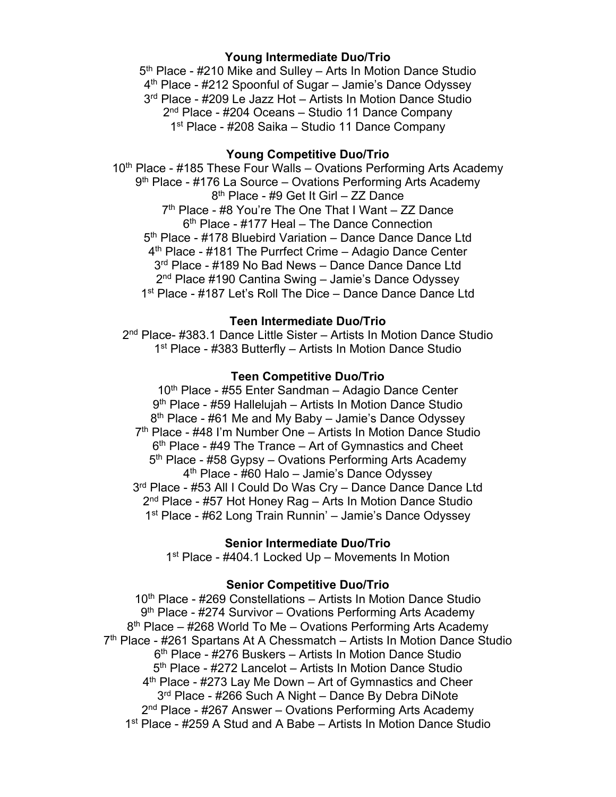## **Young Intermediate Duo/Trio**

5<sup>th</sup> Place - #210 Mike and Sulley – Arts In Motion Dance Studio 4th Place - #212 Spoonful of Sugar – Jamie's Dance Odyssey 3rd Place - #209 Le Jazz Hot – Artists In Motion Dance Studio 2nd Place - #204 Oceans – Studio 11 Dance Company 1<sup>st</sup> Place - #208 Saika – Studio 11 Dance Company

#### **Young Competitive Duo/Trio**

10<sup>th</sup> Place - #185 These Four Walls – Ovations Performing Arts Academy  $9<sup>th</sup>$  Place - #176 La Source – Ovations Performing Arts Academy 8th Place - #9 Get It Girl – ZZ Dance 7<sup>th</sup> Place - #8 You're The One That I Want - ZZ Dance 6<sup>th</sup> Place - #177 Heal - The Dance Connection 5<sup>th</sup> Place - #178 Bluebird Variation – Dance Dance Dance Ltd 4<sup>th</sup> Place - #181 The Purrfect Crime - Adagio Dance Center 3<sup>rd</sup> Place - #189 No Bad News - Dance Dance Dance Ltd 2nd Place #190 Cantina Swing – Jamie's Dance Odyssey 1<sup>st</sup> Place - #187 Let's Roll The Dice – Dance Dance Dance Ltd

### **Teen Intermediate Duo/Trio**

2nd Place- #383.1 Dance Little Sister – Artists In Motion Dance Studio 1<sup>st</sup> Place - #383 Butterfly – Artists In Motion Dance Studio

#### **Teen Competitive Duo/Trio**

10th Place - #55 Enter Sandman – Adagio Dance Center 9th Place - #59 Hallelujah – Artists In Motion Dance Studio  $8<sup>th</sup>$  Place - #61 Me and My Baby – Jamie's Dance Odyssey 7th Place - #48 I'm Number One – Artists In Motion Dance Studio  $6<sup>th</sup>$  Place - #49 The Trance – Art of Gymnastics and Cheet 5<sup>th</sup> Place - #58 Gypsy – Ovations Performing Arts Academy 4th Place - #60 Halo – Jamie's Dance Odyssey 3rd Place - #53 All I Could Do Was Cry – Dance Dance Dance Ltd 2<sup>nd</sup> Place - #57 Hot Honey Rag – Arts In Motion Dance Studio 1st Place - #62 Long Train Runnin' – Jamie's Dance Odyssey

### **Senior Intermediate Duo/Trio**

1<sup>st</sup> Place - #404.1 Locked Up – Movements In Motion

#### **Senior Competitive Duo/Trio**

10<sup>th</sup> Place - #269 Constellations – Artists In Motion Dance Studio 9<sup>th</sup> Place - #274 Survivor – Ovations Performing Arts Academy 8<sup>th</sup> Place – #268 World To Me – Ovations Performing Arts Academy 7<sup>th</sup> Place - #261 Spartans At A Chessmatch – Artists In Motion Dance Studio 6th Place - #276 Buskers – Artists In Motion Dance Studio 5<sup>th</sup> Place - #272 Lancelot – Artists In Motion Dance Studio 4<sup>th</sup> Place - #273 Lay Me Down – Art of Gymnastics and Cheer 3<sup>rd</sup> Place - #266 Such A Night – Dance By Debra DiNote 2<sup>nd</sup> Place - #267 Answer – Ovations Performing Arts Academy 1st Place - #259 A Stud and A Babe – Artists In Motion Dance Studio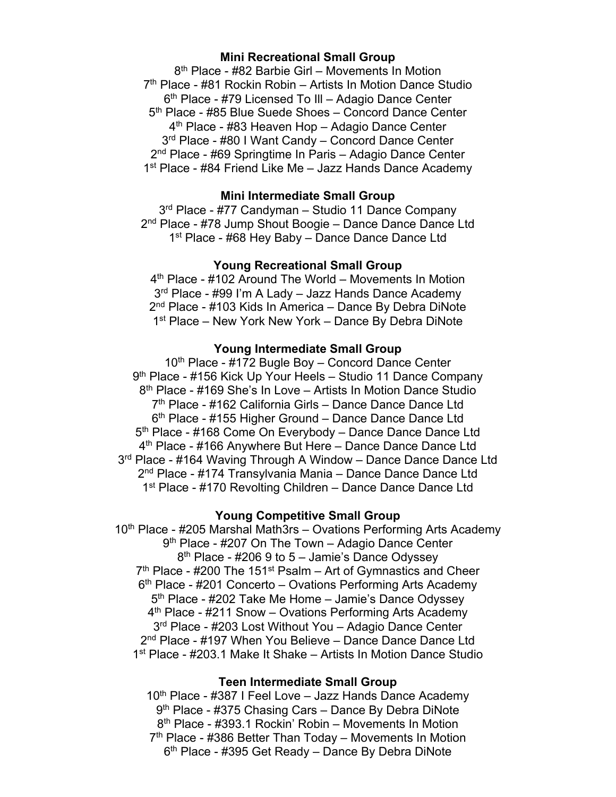## **Mini Recreational Small Group**

8th Place - #82 Barbie Girl – Movements In Motion 7<sup>th</sup> Place - #81 Rockin Robin – Artists In Motion Dance Studio 6th Place - #79 Licensed To Ill – Adagio Dance Center 5<sup>th</sup> Place - #85 Blue Suede Shoes - Concord Dance Center 4th Place - #83 Heaven Hop – Adagio Dance Center 3<sup>rd</sup> Place - #80 I Want Candy – Concord Dance Center 2nd Place - #69 Springtime In Paris – Adagio Dance Center 1<sup>st</sup> Place - #84 Friend Like Me – Jazz Hands Dance Academy

### **Mini Intermediate Small Group**

3<sup>rd</sup> Place - #77 Candyman – Studio 11 Dance Company 2<sup>nd</sup> Place - #78 Jump Shout Boogie – Dance Dance Dance Ltd 1<sup>st</sup> Place - #68 Hey Baby – Dance Dance Dance Ltd

#### **Young Recreational Small Group**

4th Place - #102 Around The World – Movements In Motion 3<sup>rd</sup> Place - #99 I'm A Lady – Jazz Hands Dance Academy 2<sup>nd</sup> Place - #103 Kids In America – Dance By Debra DiNote 1<sup>st</sup> Place – New York New York – Dance By Debra DiNote

#### **Young Intermediate Small Group**

10<sup>th</sup> Place - #172 Bugle Boy – Concord Dance Center 9<sup>th</sup> Place - #156 Kick Up Your Heels - Studio 11 Dance Company 8<sup>th</sup> Place - #169 She's In Love - Artists In Motion Dance Studio 7<sup>th</sup> Place - #162 California Girls - Dance Dance Dance Ltd 6<sup>th</sup> Place - #155 Higher Ground – Dance Dance Dance Ltd 5<sup>th</sup> Place - #168 Come On Everybody – Dance Dance Dance Ltd 4th Place - #166 Anywhere But Here – Dance Dance Dance Ltd 3<sup>rd</sup> Place - #164 Waving Through A Window – Dance Dance Dance Ltd 2nd Place - #174 Transylvania Mania – Dance Dance Dance Ltd 1<sup>st</sup> Place - #170 Revolting Children – Dance Dance Dance Ltd

### **Young Competitive Small Group**

 $10<sup>th</sup>$  Place - #205 Marshal Math3rs – Ovations Performing Arts Academy 9<sup>th</sup> Place - #207 On The Town – Adagio Dance Center  $8<sup>th</sup>$  Place - #206 9 to 5 – Jamie's Dance Odyssey  $7<sup>th</sup>$  Place - #200 The 151<sup>st</sup> Psalm – Art of Gymnastics and Cheer 6<sup>th</sup> Place - #201 Concerto – Ovations Performing Arts Academy 5<sup>th</sup> Place - #202 Take Me Home – Jamie's Dance Odyssey 4<sup>th</sup> Place - #211 Snow – Ovations Performing Arts Academy 3<sup>rd</sup> Place - #203 Lost Without You - Adagio Dance Center 2<sup>nd</sup> Place - #197 When You Believe - Dance Dance Dance Ltd 1st Place - #203.1 Make It Shake – Artists In Motion Dance Studio

#### **Teen Intermediate Small Group**

 $10<sup>th</sup>$  Place - #387 I Feel Love – Jazz Hands Dance Academy 9<sup>th</sup> Place - #375 Chasing Cars – Dance By Debra DiNote 8th Place - #393.1 Rockin' Robin – Movements In Motion  $7<sup>th</sup>$  Place - #386 Better Than Today – Movements In Motion 6th Place - #395 Get Ready – Dance By Debra DiNote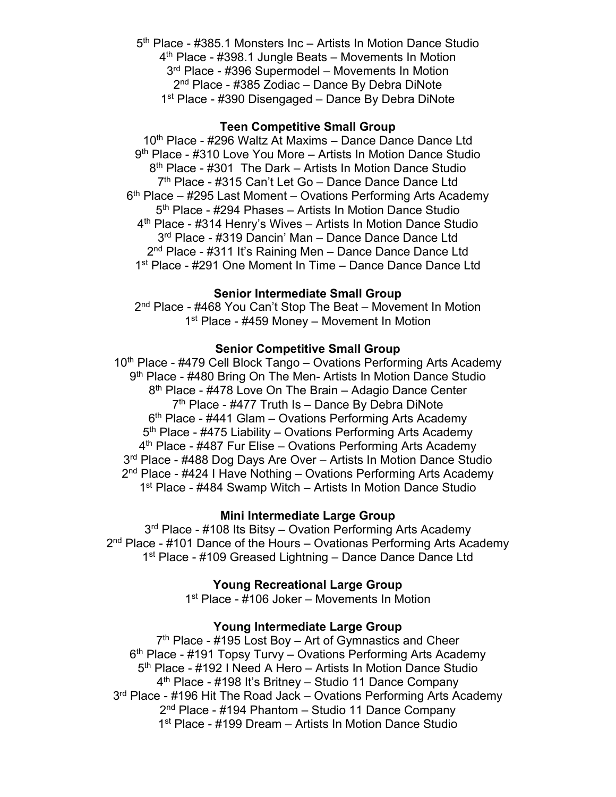5<sup>th</sup> Place - #385.1 Monsters Inc – Artists In Motion Dance Studio 4th Place - #398.1 Jungle Beats – Movements In Motion 3rd Place - #396 Supermodel – Movements In Motion 2nd Place - #385 Zodiac – Dance By Debra DiNote 1<sup>st</sup> Place - #390 Disengaged – Dance By Debra DiNote

#### **Teen Competitive Small Group**

10<sup>th</sup> Place - #296 Waltz At Maxims – Dance Dance Dance Ltd 9th Place - #310 Love You More – Artists In Motion Dance Studio 8<sup>th</sup> Place - #301 The Dark – Artists In Motion Dance Studio 7<sup>th</sup> Place - #315 Can't Let Go - Dance Dance Dance Ltd  $6<sup>th</sup>$  Place – #295 Last Moment – Ovations Performing Arts Academy 5<sup>th</sup> Place - #294 Phases – Artists In Motion Dance Studio 4<sup>th</sup> Place - #314 Henry's Wives – Artists In Motion Dance Studio 3<sup>rd</sup> Place - #319 Dancin' Man - Dance Dance Dance Ltd 2<sup>nd</sup> Place - #311 It's Raining Men - Dance Dance Dance Ltd 1<sup>st</sup> Place - #291 One Moment In Time – Dance Dance Dance Ltd

## **Senior Intermediate Small Group**

2<sup>nd</sup> Place - #468 You Can't Stop The Beat – Movement In Motion 1<sup>st</sup> Place - #459 Money – Movement In Motion

#### **Senior Competitive Small Group**

10<sup>th</sup> Place - #479 Cell Block Tango – Ovations Performing Arts Academy 9<sup>th</sup> Place - #480 Bring On The Men- Artists In Motion Dance Studio 8<sup>th</sup> Place - #478 Love On The Brain – Adagio Dance Center  $7<sup>th</sup>$  Place - #477 Truth Is – Dance By Debra DiNote  $6<sup>th</sup>$  Place - #441 Glam – Ovations Performing Arts Academy 5<sup>th</sup> Place - #475 Liability – Ovations Performing Arts Academy 4<sup>th</sup> Place - #487 Fur Elise – Ovations Performing Arts Academy 3<sup>rd</sup> Place - #488 Dog Days Are Over - Artists In Motion Dance Studio 2<sup>nd</sup> Place - #424 I Have Nothing – Ovations Performing Arts Academy 1<sup>st</sup> Place - #484 Swamp Witch – Artists In Motion Dance Studio

#### **Mini Intermediate Large Group**

3<sup>rd</sup> Place - #108 Its Bitsy – Ovation Performing Arts Academy  $2<sup>nd</sup>$  Place - #101 Dance of the Hours – Ovationas Performing Arts Academy 1<sup>st</sup> Place - #109 Greased Lightning – Dance Dance Dance Ltd

**Young Recreational Large Group** 

1<sup>st</sup> Place - #106 Joker – Movements In Motion

## **Young Intermediate Large Group**

7<sup>th</sup> Place - #195 Lost Boy – Art of Gymnastics and Cheer  $6<sup>th</sup>$  Place - #191 Topsy Turvy – Ovations Performing Arts Academy 5<sup>th</sup> Place - #192 I Need A Hero – Artists In Motion Dance Studio 4th Place - #198 It's Britney – Studio 11 Dance Company 3<sup>rd</sup> Place - #196 Hit The Road Jack – Ovations Performing Arts Academy 2nd Place - #194 Phantom – Studio 11 Dance Company 1<sup>st</sup> Place - #199 Dream – Artists In Motion Dance Studio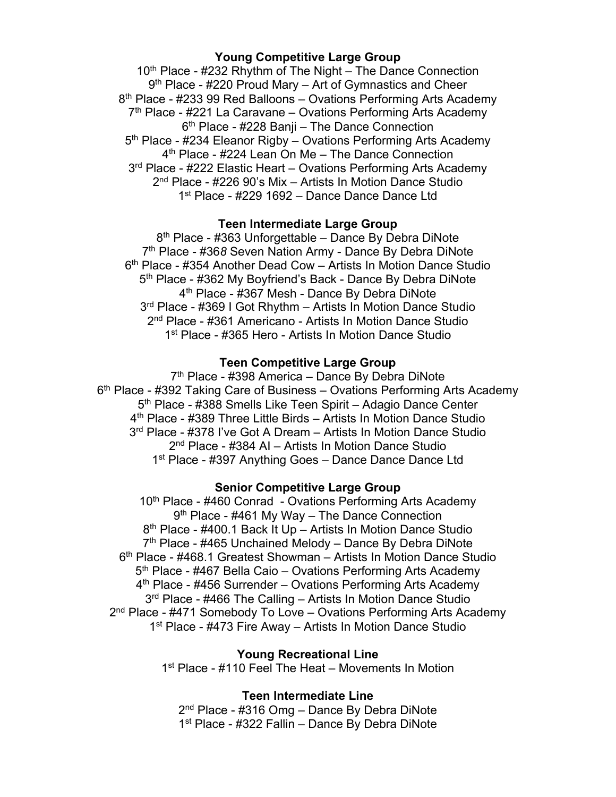#### **Young Competitive Large Group**

 $10<sup>th</sup>$  Place - #232 Rhythm of The Night – The Dance Connection  $9<sup>th</sup>$  Place - #220 Proud Mary – Art of Gymnastics and Cheer 8<sup>th</sup> Place - #233 99 Red Balloons – Ovations Performing Arts Academy  $7<sup>th</sup>$  Place - #221 La Caravane – Ovations Performing Arts Academy 6th Place - #228 Banji – The Dance Connection 5th Place - #234 Eleanor Rigby – Ovations Performing Arts Academy 4<sup>th</sup> Place - #224 Lean On Me - The Dance Connection 3rd Place - #222 Elastic Heart – Ovations Performing Arts Academy 2nd Place - #226 90's Mix – Artists In Motion Dance Studio 1<sup>st</sup> Place - #229 1692 – Dance Dance Dance Ltd

#### **Teen Intermediate Large Group**

8<sup>th</sup> Place - #363 Unforgettable – Dance By Debra DiNote 7th Place - #36*8* Seven Nation Army - Dance By Debra DiNote 6<sup>th</sup> Place - #354 Another Dead Cow – Artists In Motion Dance Studio 5<sup>th</sup> Place - #362 My Boyfriend's Back - Dance By Debra DiNote 4th Place - #367 Mesh - Dance By Debra DiNote 3rd Place - #369 I Got Rhythm – Artists In Motion Dance Studio 2nd Place - #361 Americano - Artists In Motion Dance Studio 1st Place - #365 Hero - Artists In Motion Dance Studio

### **Teen Competitive Large Group**

7<sup>th</sup> Place - #398 America – Dance By Debra DiNote 6<sup>th</sup> Place - #392 Taking Care of Business – Ovations Performing Arts Academy 5<sup>th</sup> Place - #388 Smells Like Teen Spirit – Adagio Dance Center 4th Place - #389 Three Little Birds – Artists In Motion Dance Studio 3<sup>rd</sup> Place - #378 I've Got A Dream - Artists In Motion Dance Studio 2nd Place - #384 AI – Artists In Motion Dance Studio 1<sup>st</sup> Place - #397 Anything Goes – Dance Dance Dance Ltd

#### **Senior Competitive Large Group**

10<sup>th</sup> Place - #460 Conrad - Ovations Performing Arts Academy 9<sup>th</sup> Place - #461 My Way - The Dance Connection 8<sup>th</sup> Place - #400.1 Back It Up – Artists In Motion Dance Studio 7<sup>th</sup> Place - #465 Unchained Melody – Dance By Debra DiNote 6th Place - #468.1 Greatest Showman – Artists In Motion Dance Studio 5<sup>th</sup> Place - #467 Bella Caio – Ovations Performing Arts Academy 4<sup>th</sup> Place - #456 Surrender – Ovations Performing Arts Academy 3<sup>rd</sup> Place - #466 The Calling – Artists In Motion Dance Studio 2<sup>nd</sup> Place - #471 Somebody To Love – Ovations Performing Arts Academy 1<sup>st</sup> Place - #473 Fire Away – Artists In Motion Dance Studio

**Young Recreational Line** 

1<sup>st</sup> Place - #110 Feel The Heat – Movements In Motion

#### **Teen Intermediate Line**

2<sup>nd</sup> Place - #316 Omg – Dance By Debra DiNote 1st Place - #322 Fallin – Dance By Debra DiNote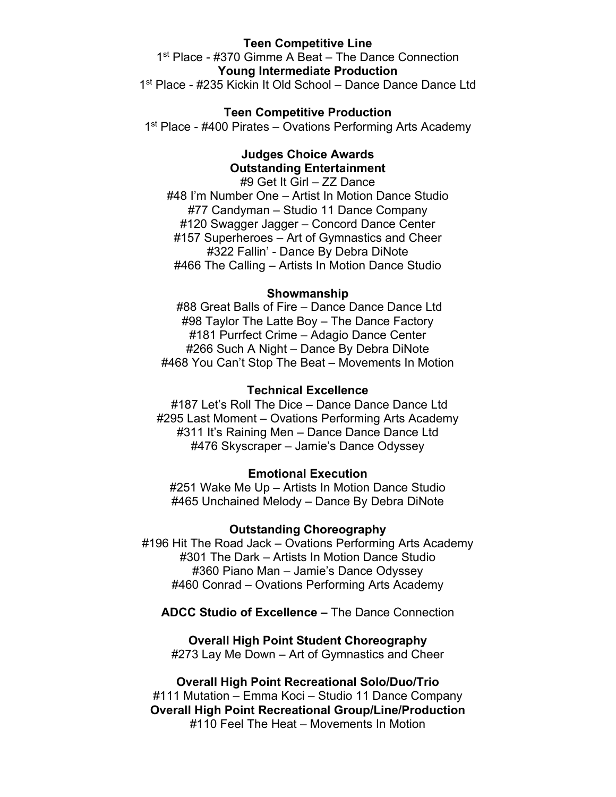### **Teen Competitive Line**

1<sup>st</sup> Place - #370 Gimme A Beat – The Dance Connection **Young Intermediate Production** 1<sup>st</sup> Place - #235 Kickin It Old School – Dance Dance Dance Ltd

#### **Teen Competitive Production**

1<sup>st</sup> Place - #400 Pirates – Ovations Performing Arts Academy

## **Judges Choice Awards Outstanding Entertainment**

#9 Get It Girl – ZZ Dance #48 I'm Number One – Artist In Motion Dance Studio #77 Candyman – Studio 11 Dance Company #120 Swagger Jagger – Concord Dance Center #157 Superheroes – Art of Gymnastics and Cheer #322 Fallin' - Dance By Debra DiNote #466 The Calling – Artists In Motion Dance Studio

#### **Showmanship**

#88 Great Balls of Fire – Dance Dance Dance Ltd #98 Taylor The Latte Boy – The Dance Factory #181 Purrfect Crime – Adagio Dance Center #266 Such A Night – Dance By Debra DiNote #468 You Can't Stop The Beat – Movements In Motion

### **Technical Excellence**

#187 Let's Roll The Dice – Dance Dance Dance Ltd #295 Last Moment – Ovations Performing Arts Academy #311 It's Raining Men – Dance Dance Dance Ltd #476 Skyscraper – Jamie's Dance Odyssey

#### **Emotional Execution**

#251 Wake Me Up – Artists In Motion Dance Studio #465 Unchained Melody – Dance By Debra DiNote

#### **Outstanding Choreography**

#196 Hit The Road Jack – Ovations Performing Arts Academy #301 The Dark – Artists In Motion Dance Studio #360 Piano Man – Jamie's Dance Odyssey #460 Conrad – Ovations Performing Arts Academy

**ADCC Studio of Excellence –** The Dance Connection

#### **Overall High Point Student Choreography**

#273 Lay Me Down – Art of Gymnastics and Cheer

**Overall High Point Recreational Solo/Duo/Trio** #111 Mutation – Emma Koci – Studio 11 Dance Company **Overall High Point Recreational Group/Line/Production** #110 Feel The Heat – Movements In Motion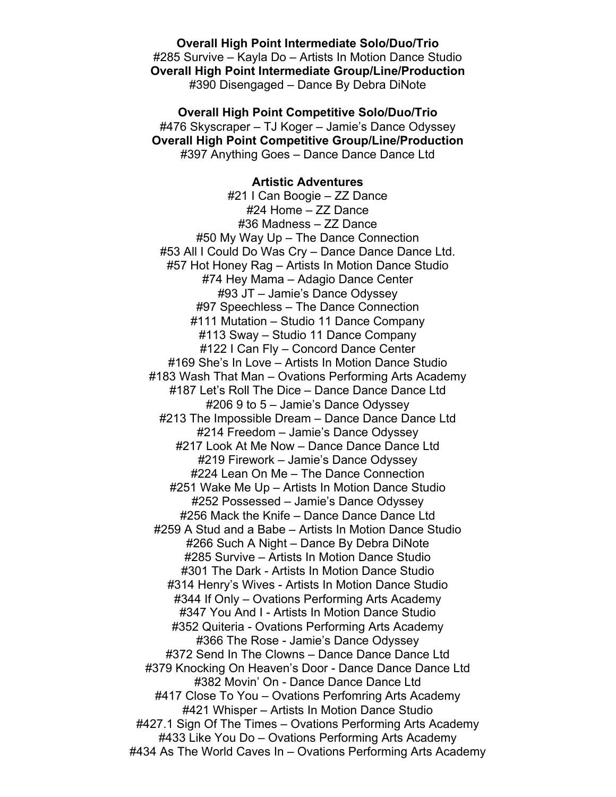**Overall High Point Intermediate Solo/Duo/Trio** #285 Survive – Kayla Do – Artists In Motion Dance Studio **Overall High Point Intermediate Group/Line/Production** #390 Disengaged – Dance By Debra DiNote

**Overall High Point Competitive Solo/Duo/Trio** #476 Skyscraper – TJ Koger – Jamie's Dance Odyssey **Overall High Point Competitive Group/Line/Production** #397 Anything Goes – Dance Dance Dance Ltd

> **Artistic Adventures** #21 I Can Boogie – ZZ Dance

#24 Home – ZZ Dance #36 Madness – ZZ Dance #50 My Way Up – The Dance Connection #53 All I Could Do Was Cry – Dance Dance Dance Ltd. #57 Hot Honey Rag – Artists In Motion Dance Studio #74 Hey Mama – Adagio Dance Center #93 JT – Jamie's Dance Odyssey #97 Speechless – The Dance Connection #111 Mutation – Studio 11 Dance Company #113 Sway – Studio 11 Dance Company #122 I Can Fly – Concord Dance Center #169 She's In Love – Artists In Motion Dance Studio #183 Wash That Man – Ovations Performing Arts Academy #187 Let's Roll The Dice – Dance Dance Dance Ltd #206 9 to 5 – Jamie's Dance Odyssey #213 The Impossible Dream – Dance Dance Dance Ltd #214 Freedom – Jamie's Dance Odyssey #217 Look At Me Now – Dance Dance Dance Ltd #219 Firework – Jamie's Dance Odyssey #224 Lean On Me – The Dance Connection #251 Wake Me Up – Artists In Motion Dance Studio #252 Possessed – Jamie's Dance Odyssey #256 Mack the Knife – Dance Dance Dance Ltd #259 A Stud and a Babe – Artists In Motion Dance Studio #266 Such A Night – Dance By Debra DiNote #285 Survive – Artists In Motion Dance Studio #301 The Dark - Artists In Motion Dance Studio #314 Henry's Wives - Artists In Motion Dance Studio #344 If Only – Ovations Performing Arts Academy #347 You And I - Artists In Motion Dance Studio #352 Quiteria - Ovations Performing Arts Academy #366 The Rose - Jamie's Dance Odyssey #372 Send In The Clowns – Dance Dance Dance Ltd #379 Knocking On Heaven's Door - Dance Dance Dance Ltd #382 Movin' On - Dance Dance Dance Ltd #417 Close To You – Ovations Perfomring Arts Academy #421 Whisper – Artists In Motion Dance Studio #427.1 Sign Of The Times – Ovations Performing Arts Academy #433 Like You Do – Ovations Performing Arts Academy #434 As The World Caves In – Ovations Performing Arts Academy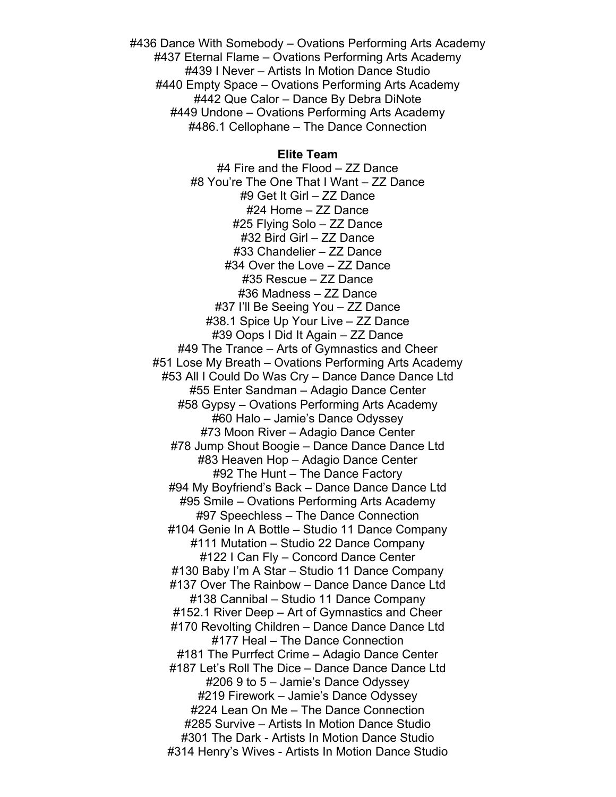#436 Dance With Somebody – Ovations Performing Arts Academy #437 Eternal Flame – Ovations Performing Arts Academy #439 I Never – Artists In Motion Dance Studio #440 Empty Space – Ovations Performing Arts Academy #442 Que Calor – Dance By Debra DiNote #449 Undone – Ovations Performing Arts Academy #486.1 Cellophane – The Dance Connection

#### **Elite Team**

#4 Fire and the Flood – ZZ Dance #8 You're The One That I Want – ZZ Dance #9 Get It Girl – ZZ Dance #24 Home – ZZ Dance #25 Flying Solo – ZZ Dance #32 Bird Girl – ZZ Dance #33 Chandelier – ZZ Dance #34 Over the Love – ZZ Dance #35 Rescue – ZZ Dance #36 Madness – ZZ Dance #37 I'll Be Seeing You – ZZ Dance #38.1 Spice Up Your Live – ZZ Dance #39 Oops I Did It Again – ZZ Dance #49 The Trance – Arts of Gymnastics and Cheer #51 Lose My Breath – Ovations Performing Arts Academy #53 All I Could Do Was Cry – Dance Dance Dance Ltd #55 Enter Sandman – Adagio Dance Center #58 Gypsy – Ovations Performing Arts Academy #60 Halo – Jamie's Dance Odyssey #73 Moon River – Adagio Dance Center #78 Jump Shout Boogie – Dance Dance Dance Ltd #83 Heaven Hop – Adagio Dance Center #92 The Hunt – The Dance Factory #94 My Boyfriend's Back – Dance Dance Dance Ltd #95 Smile – Ovations Performing Arts Academy #97 Speechless – The Dance Connection #104 Genie In A Bottle – Studio 11 Dance Company #111 Mutation – Studio 22 Dance Company #122 I Can Fly – Concord Dance Center #130 Baby I'm A Star – Studio 11 Dance Company #137 Over The Rainbow – Dance Dance Dance Ltd #138 Cannibal – Studio 11 Dance Company #152.1 River Deep – Art of Gymnastics and Cheer #170 Revolting Children – Dance Dance Dance Ltd #177 Heal – The Dance Connection #181 The Purrfect Crime – Adagio Dance Center #187 Let's Roll The Dice – Dance Dance Dance Ltd #206 9 to 5 – Jamie's Dance Odyssey #219 Firework – Jamie's Dance Odyssey #224 Lean On Me – The Dance Connection #285 Survive – Artists In Motion Dance Studio #301 The Dark - Artists In Motion Dance Studio #314 Henry's Wives - Artists In Motion Dance Studio